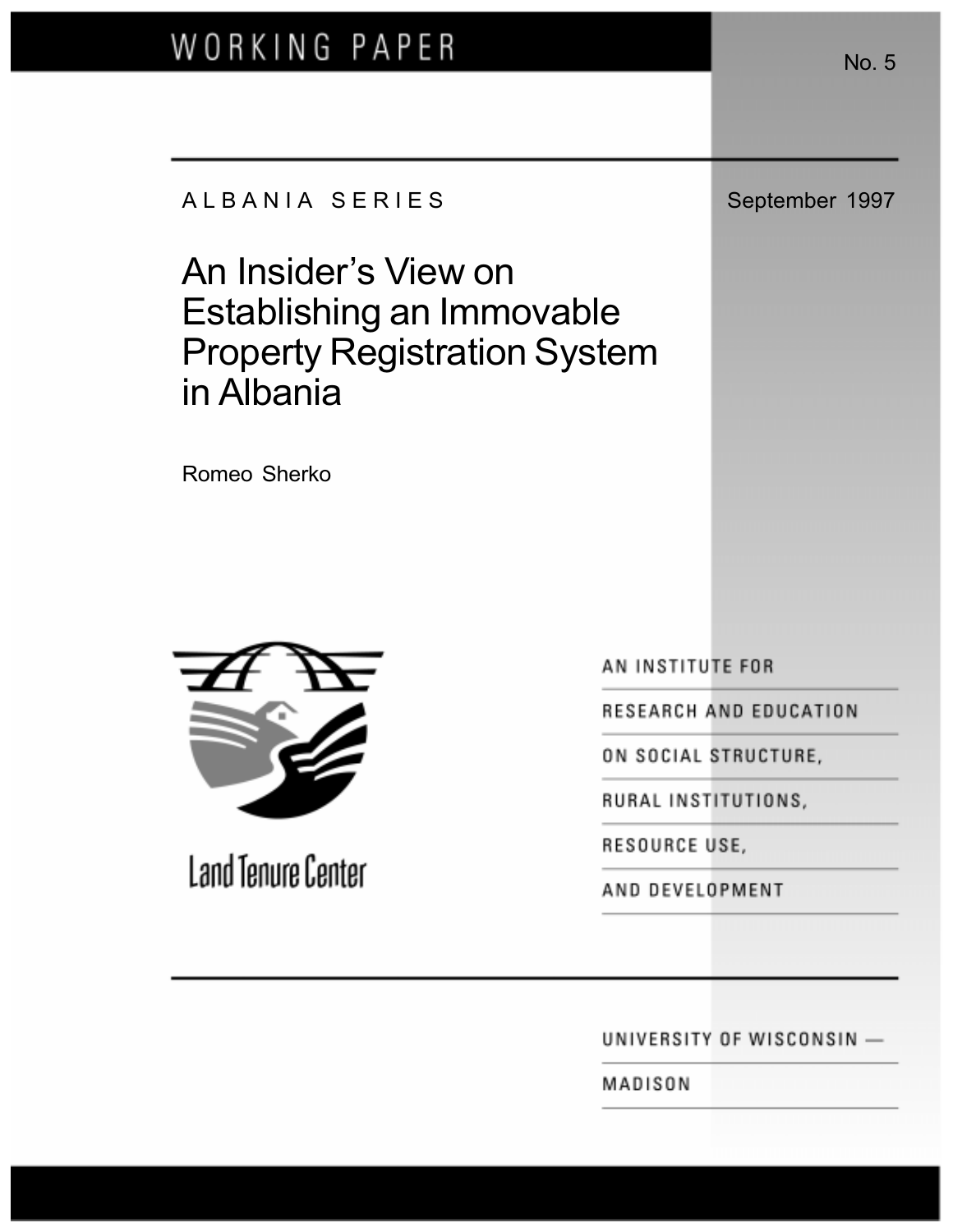# WORKING PAPER

A L B A N I A S E R I E S September 1997

An Insider's View on Establishing an Immovable Property Registration System in Albania

Romeo Sherko



Land Tenure Center

AN INSTITUTE FOR

RESEARCH AND EDUCATION

ON SOCIAL STRUCTURE,

RURAL INSTITUTIONS,

RESOURCE USE,

AND DEVELOPMENT

UNIVERSITY OF WISCONSIN -

MADISON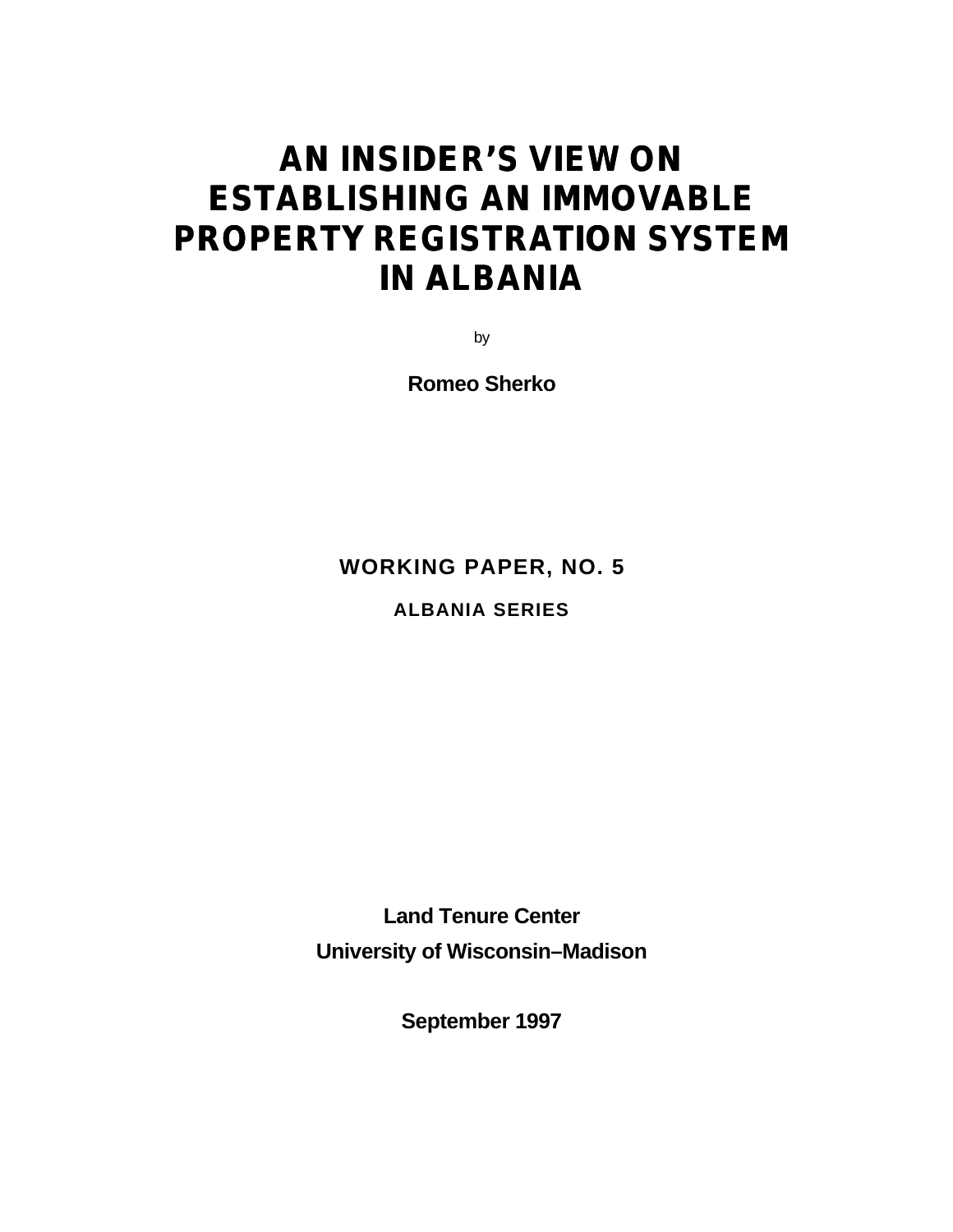## **AN INSIDER'S VIEW ON ESTABLISHING AN IMMOVABLE PROPERTY REGISTRATION SYSTEM IN ALBANIA**

by

**Romeo Sherko**

**WORKING PAPER, NO. 5**

**ALBANIA SERIES**

**Land Tenure Center University of Wisconsin–Madison**

**September 1997**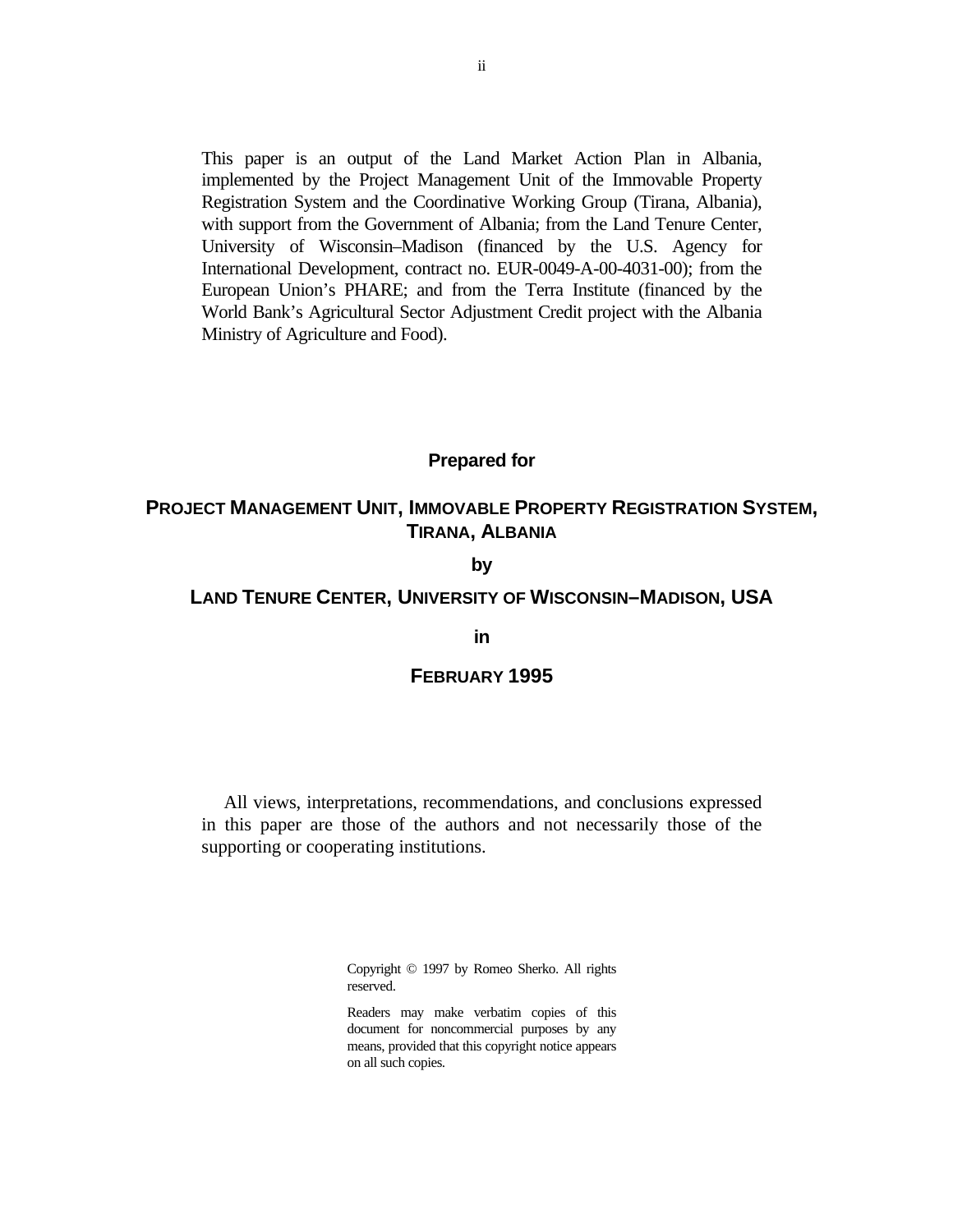This paper is an output of the Land Market Action Plan in Albania, implemented by the Project Management Unit of the Immovable Property Registration System and the Coordinative Working Group (Tirana, Albania), with support from the Government of Albania; from the Land Tenure Center, University of Wisconsin–Madison (financed by the U.S. Agency for International Development, contract no. EUR-0049-A-00-4031-00); from the European Union's PHARE; and from the Terra Institute (financed by the World Bank's Agricultural Sector Adjustment Credit project with the Albania Ministry of Agriculture and Food).

#### **Prepared for**

#### **PROJECT MANAGEMENT UNIT, IMMOVABLE PROPERTY REGISTRATION SYSTEM, TIRANA, ALBANIA**

#### **by**

#### **LAND TENURE CENTER, UNIVERSITY OF WISCONSIN–MADISON, USA**

#### **in**

#### **FEBRUARY 1995**

All views, interpretations, recommendations, and conclusions expressed in this paper are those of the authors and not necessarily those of the supporting or cooperating institutions.

> Copyright © 1997 by Romeo Sherko. All rights reserved.

> Readers may make verbatim copies of this document for noncommercial purposes by any means, provided that this copyright notice appears on all such copies.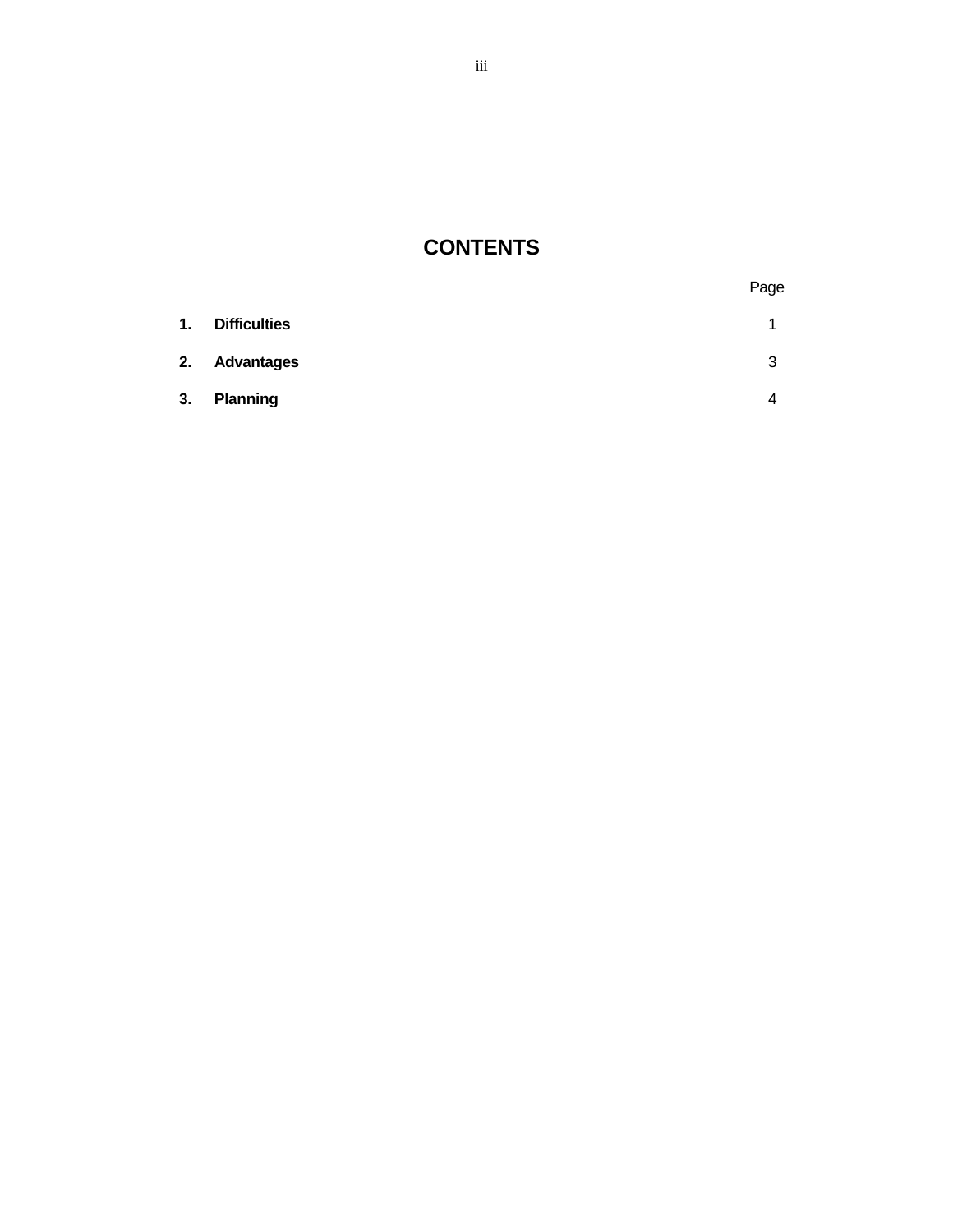### **CONTENTS**

|    |                     | Page |
|----|---------------------|------|
| 1. | <b>Difficulties</b> | 1    |
| 2. | <b>Advantages</b>   | 3    |
| 3. | <b>Planning</b>     | 4    |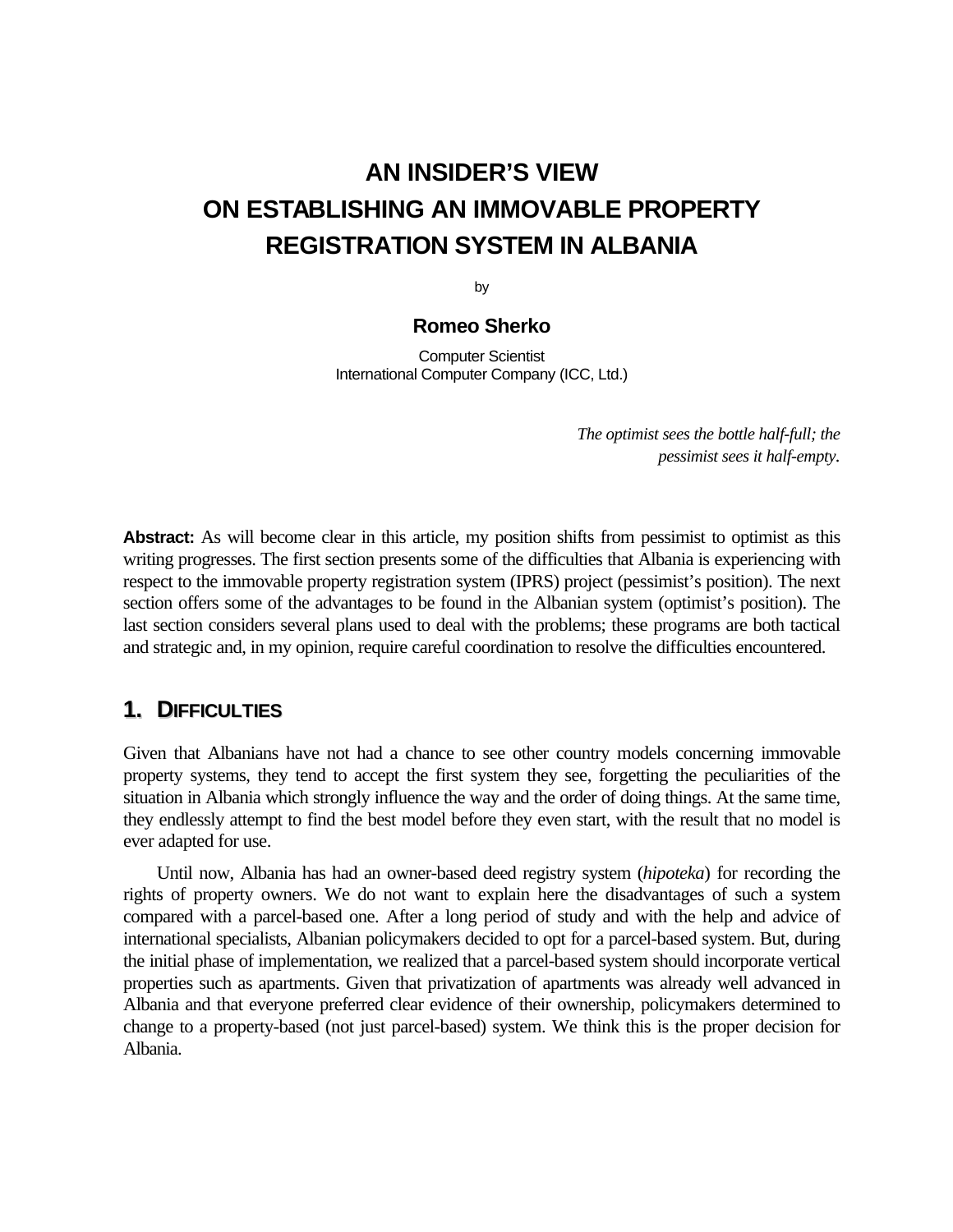### **AN INSIDER'S VIEW ON ESTABLISHING AN IMMOVABLE PROPERTY REGISTRATION SYSTEM IN ALBANIA**

by

#### **Romeo Sherko**

Computer Scientist International Computer Company (ICC, Ltd.)

> *The optimist sees the bottle half-full; the pessimist sees it half-empty.*

**Abstract:** As will become clear in this article, my position shifts from pessimist to optimist as this writing progresses. The first section presents some of the difficulties that Albania is experiencing with respect to the immovable property registration system (IPRS) project (pessimist's position). The next section offers some of the advantages to be found in the Albanian system (optimist's position). The last section considers several plans used to deal with the problems; these programs are both tactical and strategic and, in my opinion, require careful coordination to resolve the difficulties encountered.

#### **1. DIFFICULTIES**

Given that Albanians have not had a chance to see other country models concerning immovable property systems, they tend to accept the first system they see, forgetting the peculiarities of the situation in Albania which strongly influence the way and the order of doing things. At the same time, they endlessly attempt to find the best model before they even start, with the result that no model is ever adapted for use.

Until now, Albania has had an owner-based deed registry system (*hipoteka*) for recording the rights of property owners. We do not want to explain here the disadvantages of such a system compared with a parcel-based one. After a long period of study and with the help and advice of international specialists, Albanian policymakers decided to opt for a parcel-based system. But, during the initial phase of implementation, we realized that a parcel-based system should incorporate vertical properties such as apartments. Given that privatization of apartments was already well advanced in Albania and that everyone preferred clear evidence of their ownership, policymakers determined to change to a property-based (not just parcel-based) system. We think this is the proper decision for Albania.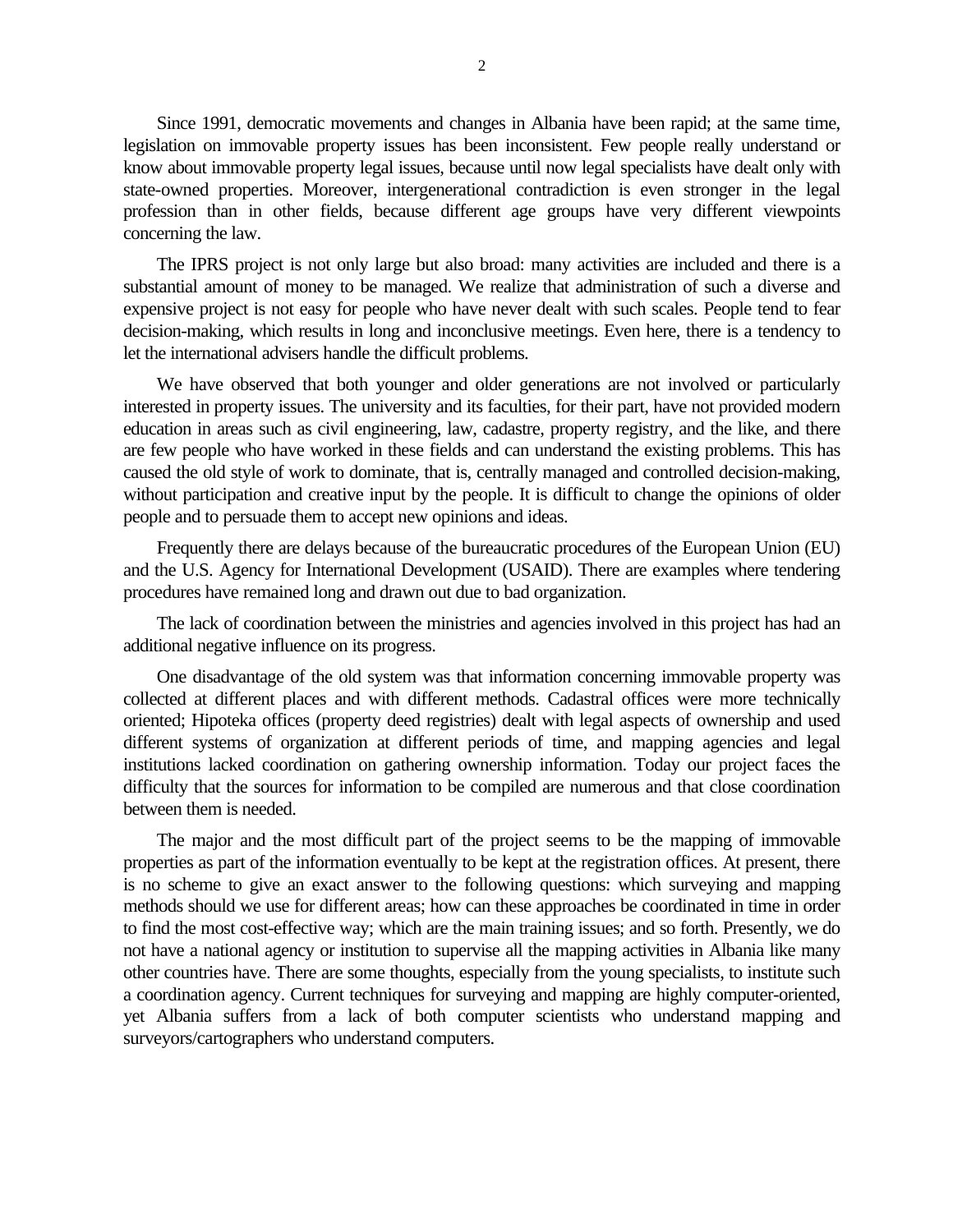Since 1991, democratic movements and changes in Albania have been rapid; at the same time, legislation on immovable property issues has been inconsistent. Few people really understand or know about immovable property legal issues, because until now legal specialists have dealt only with state-owned properties. Moreover, intergenerational contradiction is even stronger in the legal profession than in other fields, because different age groups have very different viewpoints concerning the law.

The IPRS project is not only large but also broad: many activities are included and there is a substantial amount of money to be managed. We realize that administration of such a diverse and expensive project is not easy for people who have never dealt with such scales. People tend to fear decision-making, which results in long and inconclusive meetings. Even here, there is a tendency to let the international advisers handle the difficult problems.

We have observed that both younger and older generations are not involved or particularly interested in property issues. The university and its faculties, for their part, have not provided modern education in areas such as civil engineering, law, cadastre, property registry, and the like, and there are few people who have worked in these fields and can understand the existing problems. This has caused the old style of work to dominate, that is, centrally managed and controlled decision-making, without participation and creative input by the people. It is difficult to change the opinions of older people and to persuade them to accept new opinions and ideas.

Frequently there are delays because of the bureaucratic procedures of the European Union (EU) and the U.S. Agency for International Development (USAID). There are examples where tendering procedures have remained long and drawn out due to bad organization.

The lack of coordination between the ministries and agencies involved in this project has had an additional negative influence on its progress.

One disadvantage of the old system was that information concerning immovable property was collected at different places and with different methods. Cadastral offices were more technically oriented; Hipoteka offices (property deed registries) dealt with legal aspects of ownership and used different systems of organization at different periods of time, and mapping agencies and legal institutions lacked coordination on gathering ownership information. Today our project faces the difficulty that the sources for information to be compiled are numerous and that close coordination between them is needed.

The major and the most difficult part of the project seems to be the mapping of immovable properties as part of the information eventually to be kept at the registration offices. At present, there is no scheme to give an exact answer to the following questions: which surveying and mapping methods should we use for different areas; how can these approaches be coordinated in time in order to find the most cost-effective way; which are the main training issues; and so forth. Presently, we do not have a national agency or institution to supervise all the mapping activities in Albania like many other countries have. There are some thoughts, especially from the young specialists, to institute such a coordination agency. Current techniques for surveying and mapping are highly computer-oriented, yet Albania suffers from a lack of both computer scientists who understand mapping and surveyors/cartographers who understand computers.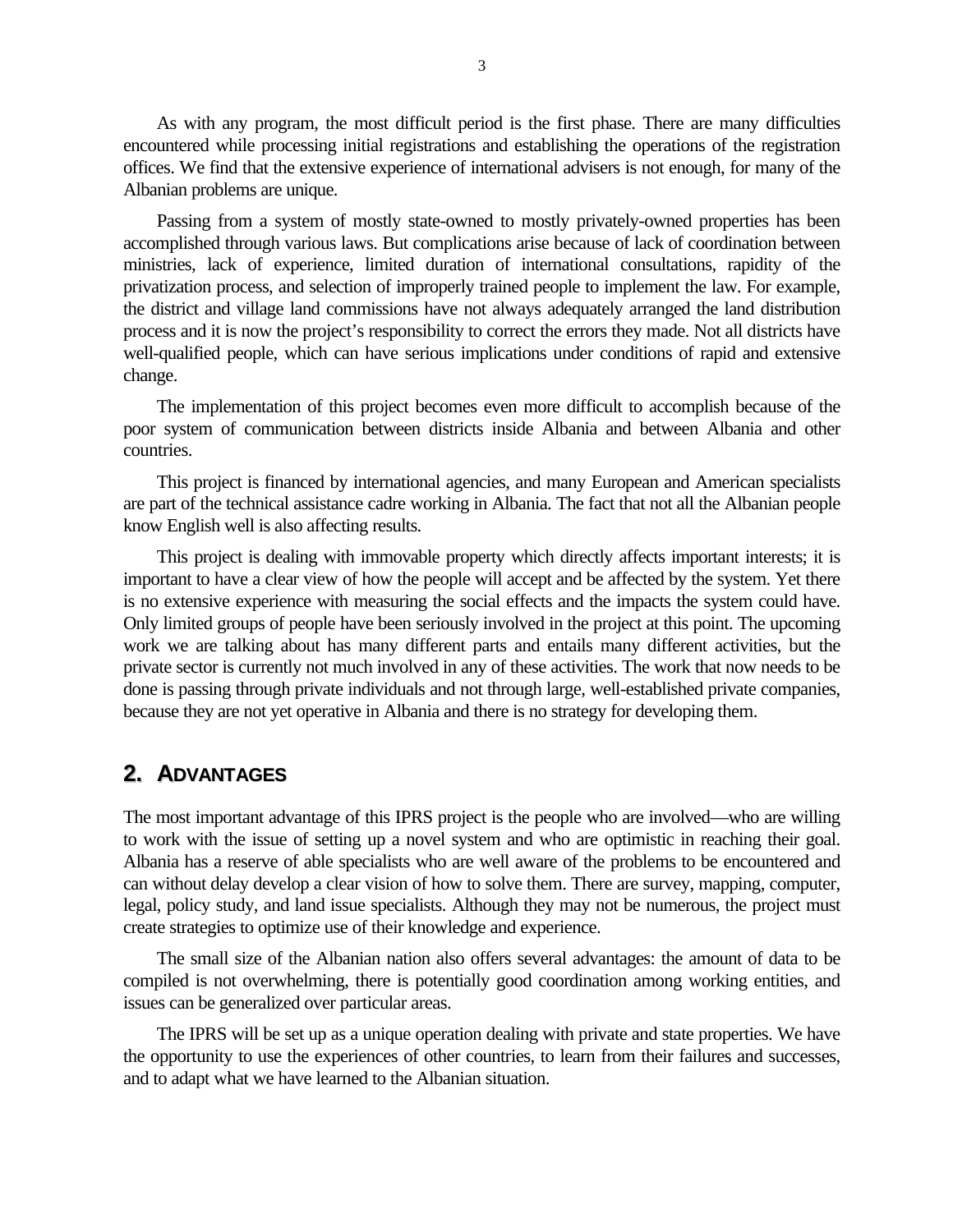As with any program, the most difficult period is the first phase. There are many difficulties encountered while processing initial registrations and establishing the operations of the registration offices. We find that the extensive experience of international advisers is not enough, for many of the Albanian problems are unique.

Passing from a system of mostly state-owned to mostly privately-owned properties has been accomplished through various laws. But complications arise because of lack of coordination between ministries, lack of experience, limited duration of international consultations, rapidity of the privatization process, and selection of improperly trained people to implement the law. For example, the district and village land commissions have not always adequately arranged the land distribution process and it is now the project's responsibility to correct the errors they made. Not all districts have well-qualified people, which can have serious implications under conditions of rapid and extensive change.

The implementation of this project becomes even more difficult to accomplish because of the poor system of communication between districts inside Albania and between Albania and other countries.

This project is financed by international agencies, and many European and American specialists are part of the technical assistance cadre working in Albania. The fact that not all the Albanian people know English well is also affecting results.

This project is dealing with immovable property which directly affects important interests; it is important to have a clear view of how the people will accept and be affected by the system. Yet there is no extensive experience with measuring the social effects and the impacts the system could have. Only limited groups of people have been seriously involved in the project at this point. The upcoming work we are talking about has many different parts and entails many different activities, but the private sector is currently not much involved in any of these activities. The work that now needs to be done is passing through private individuals and not through large, well-established private companies, because they are not yet operative in Albania and there is no strategy for developing them.

#### **2. ADVANTAGES**

The most important advantage of this IPRS project is the people who are involved—who are willing to work with the issue of setting up a novel system and who are optimistic in reaching their goal. Albania has a reserve of able specialists who are well aware of the problems to be encountered and can without delay develop a clear vision of how to solve them. There are survey, mapping, computer, legal, policy study, and land issue specialists. Although they may not be numerous, the project must create strategies to optimize use of their knowledge and experience.

The small size of the Albanian nation also offers several advantages: the amount of data to be compiled is not overwhelming, there is potentially good coordination among working entities, and issues can be generalized over particular areas.

The IPRS will be set up as a unique operation dealing with private and state properties. We have the opportunity to use the experiences of other countries, to learn from their failures and successes, and to adapt what we have learned to the Albanian situation.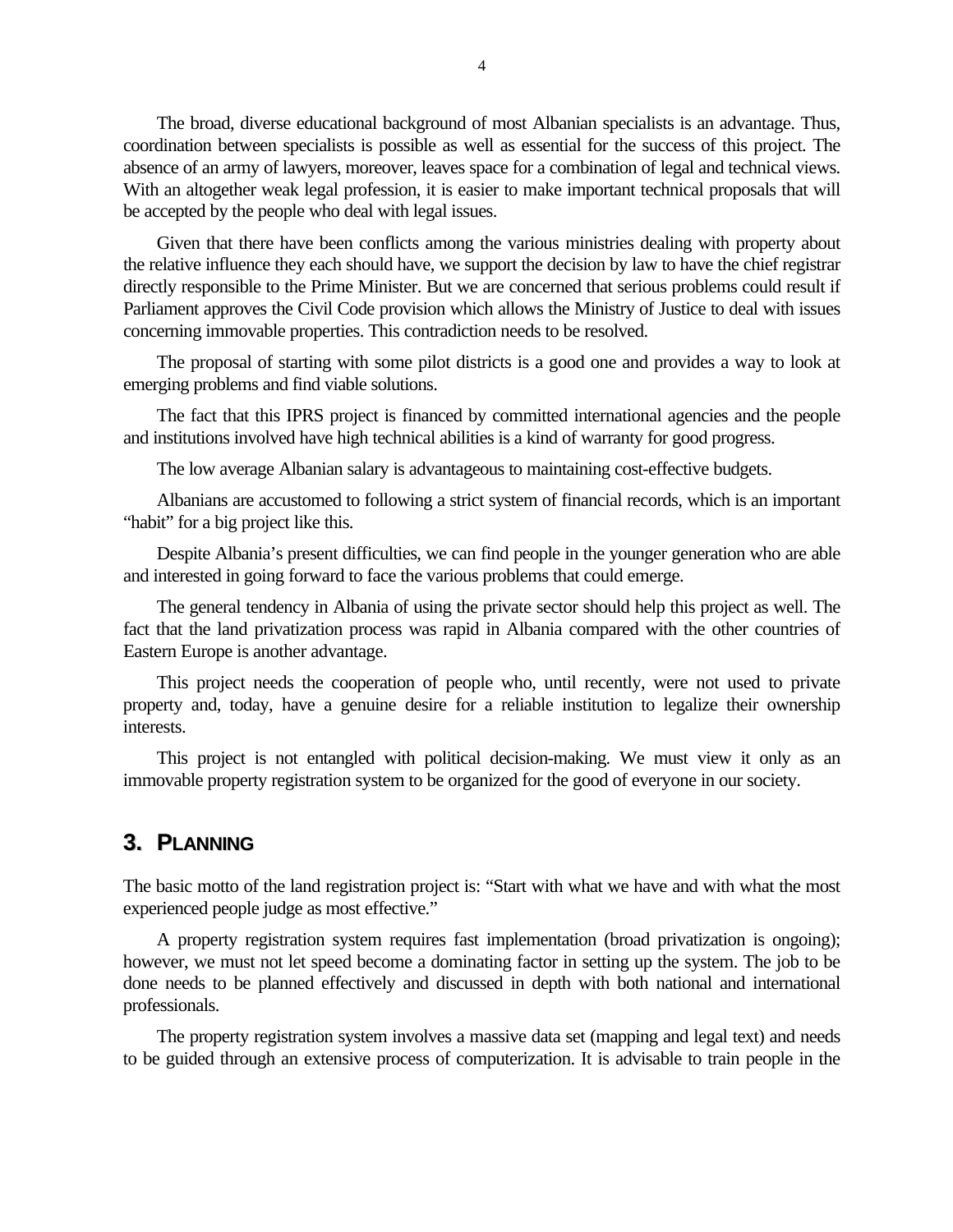The broad, diverse educational background of most Albanian specialists is an advantage. Thus, coordination between specialists is possible as well as essential for the success of this project. The absence of an army of lawyers, moreover, leaves space for a combination of legal and technical views. With an altogether weak legal profession, it is easier to make important technical proposals that will be accepted by the people who deal with legal issues.

Given that there have been conflicts among the various ministries dealing with property about the relative influence they each should have, we support the decision by law to have the chief registrar directly responsible to the Prime Minister. But we are concerned that serious problems could result if Parliament approves the Civil Code provision which allows the Ministry of Justice to deal with issues concerning immovable properties. This contradiction needs to be resolved.

The proposal of starting with some pilot districts is a good one and provides a way to look at emerging problems and find viable solutions.

The fact that this IPRS project is financed by committed international agencies and the people and institutions involved have high technical abilities is a kind of warranty for good progress.

The low average Albanian salary is advantageous to maintaining cost-effective budgets.

Albanians are accustomed to following a strict system of financial records, which is an important "habit" for a big project like this.

Despite Albania's present difficulties, we can find people in the younger generation who are able and interested in going forward to face the various problems that could emerge.

The general tendency in Albania of using the private sector should help this project as well. The fact that the land privatization process was rapid in Albania compared with the other countries of Eastern Europe is another advantage.

This project needs the cooperation of people who, until recently, were not used to private property and, today, have a genuine desire for a reliable institution to legalize their ownership interests.

This project is not entangled with political decision-making. We must view it only as an immovable property registration system to be organized for the good of everyone in our society.

#### **3. PLANNING**

The basic motto of the land registration project is: "Start with what we have and with what the most experienced people judge as most effective."

A property registration system requires fast implementation (broad privatization is ongoing); however, we must not let speed become a dominating factor in setting up the system. The job to be done needs to be planned effectively and discussed in depth with both national and international professionals.

The property registration system involves a massive data set (mapping and legal text) and needs to be guided through an extensive process of computerization. It is advisable to train people in the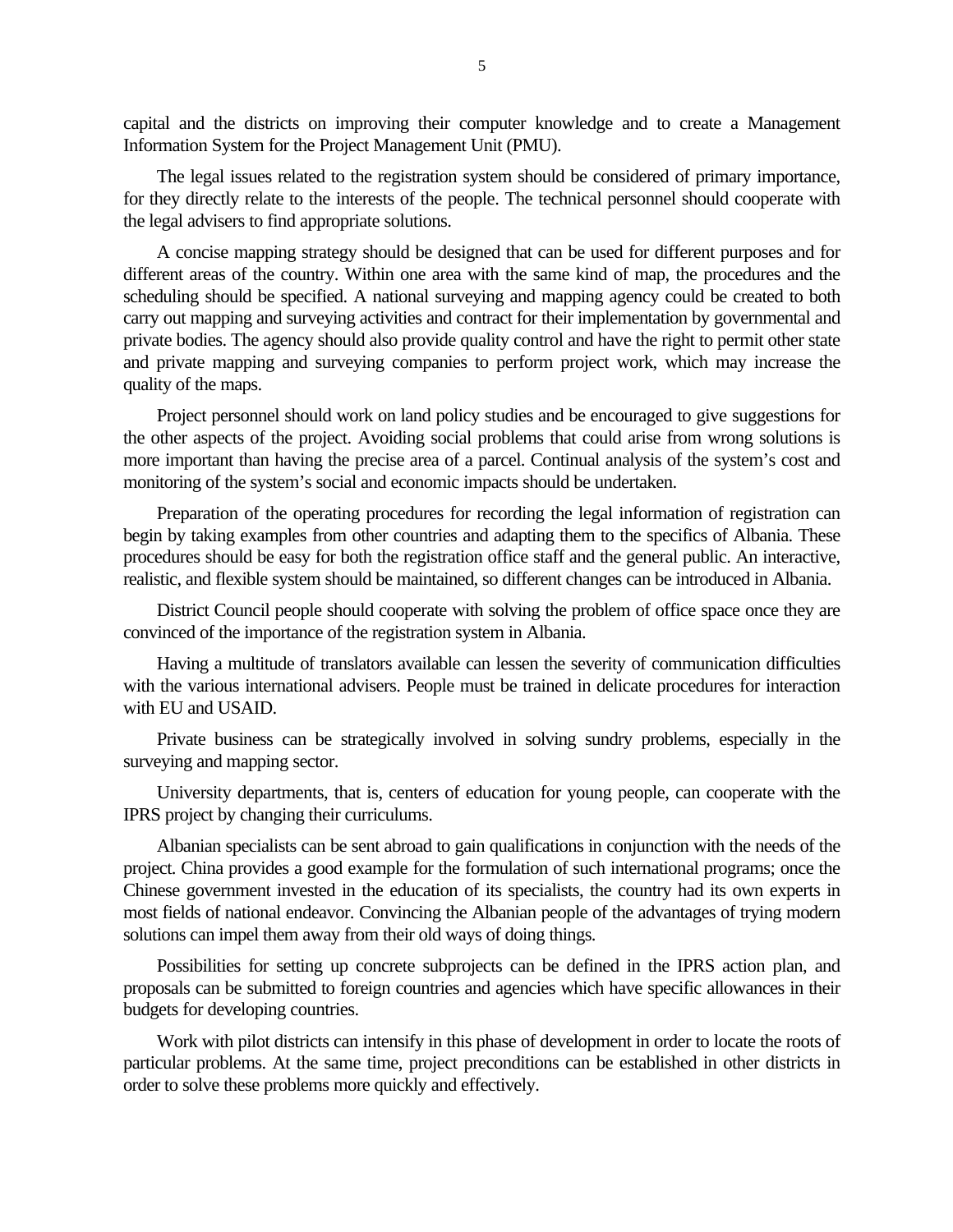capital and the districts on improving their computer knowledge and to create a Management Information System for the Project Management Unit (PMU).

The legal issues related to the registration system should be considered of primary importance, for they directly relate to the interests of the people. The technical personnel should cooperate with the legal advisers to find appropriate solutions.

A concise mapping strategy should be designed that can be used for different purposes and for different areas of the country. Within one area with the same kind of map, the procedures and the scheduling should be specified. A national surveying and mapping agency could be created to both carry out mapping and surveying activities and contract for their implementation by governmental and private bodies. The agency should also provide quality control and have the right to permit other state and private mapping and surveying companies to perform project work, which may increase the quality of the maps.

Project personnel should work on land policy studies and be encouraged to give suggestions for the other aspects of the project. Avoiding social problems that could arise from wrong solutions is more important than having the precise area of a parcel. Continual analysis of the system's cost and monitoring of the system's social and economic impacts should be undertaken.

Preparation of the operating procedures for recording the legal information of registration can begin by taking examples from other countries and adapting them to the specifics of Albania. These procedures should be easy for both the registration office staff and the general public. An interactive, realistic, and flexible system should be maintained, so different changes can be introduced in Albania.

District Council people should cooperate with solving the problem of office space once they are convinced of the importance of the registration system in Albania.

Having a multitude of translators available can lessen the severity of communication difficulties with the various international advisers. People must be trained in delicate procedures for interaction with EU and USAID.

Private business can be strategically involved in solving sundry problems, especially in the surveying and mapping sector.

University departments, that is, centers of education for young people, can cooperate with the IPRS project by changing their curriculums.

Albanian specialists can be sent abroad to gain qualifications in conjunction with the needs of the project. China provides a good example for the formulation of such international programs; once the Chinese government invested in the education of its specialists, the country had its own experts in most fields of national endeavor. Convincing the Albanian people of the advantages of trying modern solutions can impel them away from their old ways of doing things.

Possibilities for setting up concrete subprojects can be defined in the IPRS action plan, and proposals can be submitted to foreign countries and agencies which have specific allowances in their budgets for developing countries.

Work with pilot districts can intensify in this phase of development in order to locate the roots of particular problems. At the same time, project preconditions can be established in other districts in order to solve these problems more quickly and effectively.